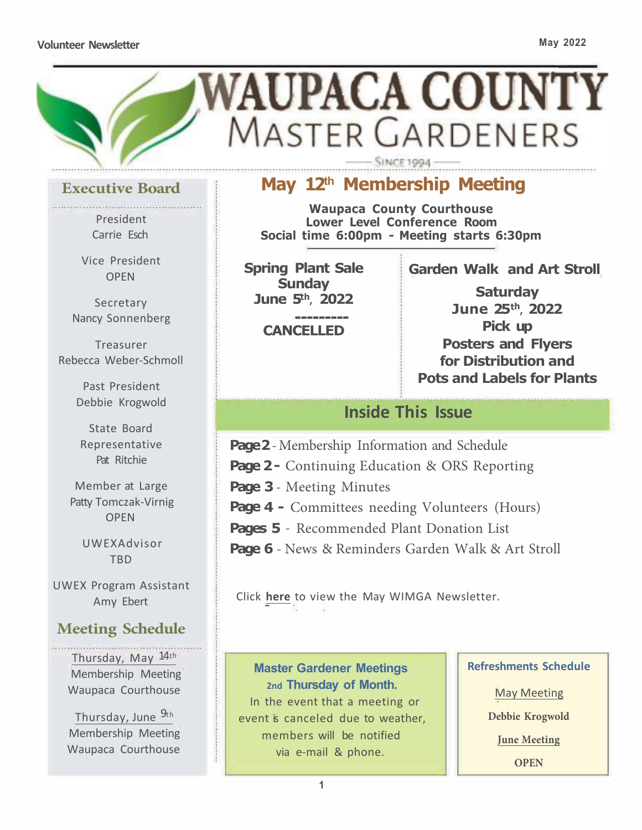#### **Volunteer Newsletter May 2022**



### **Executive Board**

socialistica continentalistica con conti President Carrie Esch

Vice President OPEN

**Secretary** Nancy Sonnenberg

Treasurer Rebecca Weber-Schmoll

> Past President Debbie Krogwold

State Board Representative Pat Ritchie

Member at Large Patty Tomczak-Virnig OPEN

UWEXAdvisor TBD

UWEX Program Assistant Amy Ebert

### **Meeting Schedule**

Thursday, May 14th Membership Meeting Waupaca Courthouse

Thursday, June 9th Membership Meeting Waupaca Courthouse

## **May 12th Membership Meeting**

**Waupaca County Courthouse Lower Level Conference Room Social time 6:00pm - Meeting starts 6:30pm** 

**Spring Plant Sale Sunday June 5th, 2022** 

**CANCELLED** 

**Garden Walk and Art Stroll** 

**Saturday June 25th, 2022 Pick up Posters and Flyers for Distribution and Pots and Labels for Plants**

### **Inside This Issue**

**Page 2** -Membership Information and Schedule

**Page 2** - Continuing Education & ORS Reporting

**Page 3** - Meeting Minutes

**Page 4 -** Committees needing Volunteers (Hours)

**Pages 5** - Recommended Plant Donation List

**Page 6** - News & Reminders Garden Walk & Art Stroll

Click **here** [to view the May WIMGA Newsletter.](https://www.wimga.org/so/ffO1YU2o2/c?w=_ThwyPptR7QrDq10NEAVt2j7q64VZPeA-ioEmGcLN0E.eyJ1IjoiaHR0cHM6Ly93d3cud2ltZ2Eub3JnL25ld3NsZXR0ZXJzIiwiciI6ImNjY2EyZTFhLTY3NDktNGJlZS0xZGMwLTZhOGYyNjE2NjVkOSIsIm0iOiJtYWlsIiwiYyI6Ijk1ODM1Y2M2LTQ2MDEtNDY0Mi05M2QyLWQwMDBkZmZlOGVjNCJ9) 

**Master Gardener Meetings 2nd Thursday of Month.**  In the event that a meeting or event is canceled due to weather. members will be notified via e-mail & phone.

#### **Refreshments Schedule**

May Meeting

**Debbie Krogwold** 

**June Meeting** 

**OPEN**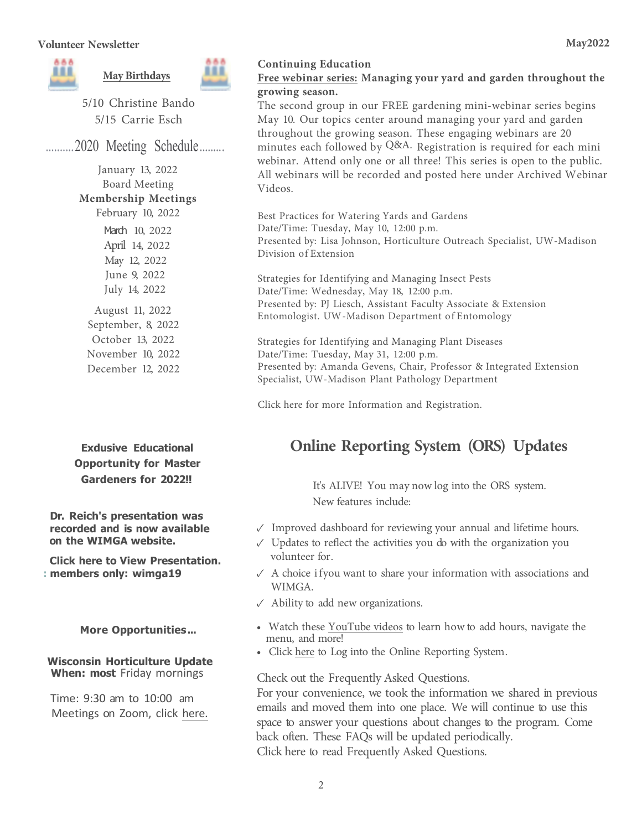

5/10 Christine Bando 5/15 Carrie Esch

.......... 2020 Meeting Schedule ........ .

January 13, 2022 Board Meeting **Membership Meetings**  February 10, 2022

March 10, 2022 April 14, 2022 May 12, 2022 June 9, 2022 July 14, 2022

August 11, 2022 September, 8, 2022 October 13, 2022 November 10, 2022 December 12, 2022

**Exdusive Educational Opportunity for Master Gardeners for 2022!!** 

**Dr. Reich's presentation was recorded and is now available on the WIMGA website.** 

**[Click here to View Presentation.](https://www.wimga.org/so/94O1cLiSs/c?w=rXdVMKa8MzA07FJ2Onl-Oc7MzzpPQSM3TivKfroHimQ.eyJ1IjoiaHR0cHM6Ly93d3cud2ltZ2Eub3JnL2xlZS1yZWljaCIsInIiOiIyMDZkZTFmYy00NmFkLTQwOWMtYzkzZS0yZmRkMjk5ZjVmOTQiLCJtIjoibWFpbCIsImMiOiI5NTgzNWNjNi00NjAxLTQ2NDItOTNkMi1kMDAwZGZmZThlYzQifQ) : members only: wimga19** 

**More Opportunities ...** 

**Wisconsin Horticulture Update When: most** Friday mornings

Time: 9:30 am to 10:00 am [Meetings on Zoom, click here.](https://t.e2ma.net/click/qpprie/inqg6ou/mei77l) 

#### **Free webinar series: Managing your yard and garden throughout the growing season.**

The second group in our FREE gardening mini-webinar series begins May 10. Our topics center around managing your yard and garden throughout the growing season. These engaging webinars are 20 minutes each followed by Q&A. Registration is required for each mini webinar. Attend only one or all three! This series is open to the public. All webinars will be recorded and posted here under Archived Webinar Videos.

Best Practices for Watering Yards and Gardens Date/Time: Tuesday, May 10, 12:00 p.m. Presented by: Lisa Johnson, Horticulture Outreach Specialist, UW-Madison Division of Extension

Strategies for Identifying and Managing Insect Pests Date/Time: Wednesday, May 18, 12:00 p.m. Presented by: PJ Liesch, Assistant Faculty Associate & Extension Entomologist. UW -Madison Department of Entomology

Strategies for Identifying and Managing Plant Diseases Date/Time: Tuesday, May 31, 12:00 p.m. Presented by: Amanda Gevens, Chair, Professor & Integrated Extension Specialist, UW-Madison Plant Pathology Department

Click [here for more Information](https://t.e2ma.net/click/qpprie/inqg6ou/izj77l) an[d Registration.](https://t.e2ma.net/click/qpprie/inqg6ou/26i77l) 

## **Online Reporting System (ORS) Updates**

It's ALIVE! You may now log into the ORS system. New features include:

- ✓ Improved dashboard for reviewing your annual and lifetime hours.
- ✓ Updates to reflect the activities you do with the organization you volunteer for.
- $\sqrt{ }$  A choice if you want to share your information with associations and WIMGA.
- $\sqrt{\phantom{a}}$  Ability to add new organizations.
- Watch these YouTube videos to learn how to add hours, navigate the menu, and more!
- Click here to Log into the Online Reporting System.

Check out the Frequently Asked Questions.

For your convenience, we took the information we shared in previous emails and moved them into one place. We will continue to use this space to answer your questions about changes to the program. Come back often. These FAQs will be updated periodically. Click here to read Frequently Asked Questions.

**May2022**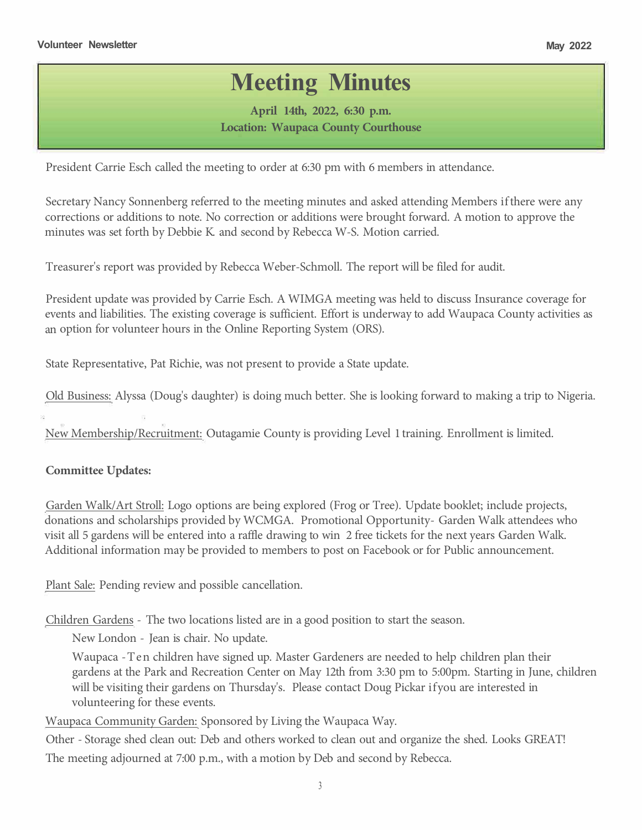# **Meeting Minutes**

**April 14th, 2022, 6:30 p.m. Location: Waupaca County Courthouse** 

President Carrie Esch called the meeting to order at 6:30 pm with 6 members in attendance.

Secretary Nancy Sonnenberg referred to the meeting minutes and asked attending Members ifthere were any corrections or additions to note. No correction or additions were brought forward. A motion to approve the minutes was set forth by Debbie K. and second by Rebecca W-S. Motion carried.

Treasurer's report was provided by Rebecca Weber-Schmoll. The report will be filed for audit.

President update was provided by Carrie Esch. A WIMGA meeting was held to discuss Insurance coverage for events and liabilities. The existing coverage is sufficient. Effort is underway to add Waupaca County activities as an option for volunteer hours in the Online Reporting System (ORS).

State Representative, Pat Richie, was not present to provide a State update.

Old Business: Alyssa (Doug's daughter) is doing much better. She is looking forward to making a trip to Nigeria.

New Membership/Recruitment: Outagamie County is providing Level 1 training. Enrollment is limited.

#### **Committee Updates:**

Garden Walk/Art Stroll: Logo options are being explored (Frog or Tree). Update booklet; include projects, donations and scholarships provided by WCMGA. Promotional Opportunity- Garden Walk attendees who visit all 5 gardens will be entered into a raffle drawing to win 2 free tickets for the next years Garden Walk. Additional information may be provided to members to post on Facebook or for Public announcement.

Plant Sale: Pending review and possible cancellation.

Children Gardens - The two locations listed are in a good position to start the season.

New London - Jean is chair. No update.

Waupaca -Ten children have signed up. Master Gardeners are needed to help children plan their gardens at the Park and Recreation Center on May 12th from 3:30 pm to 5:00pm. Starting in June, children will be visiting their gardens on Thursday's. Please contact Doug Pickar if you are interested in volunteering for these events.

Waupaca Community Garden: Sponsored by Living the Waupaca Way.

Other - Storage shed clean out: Deb and others worked to clean out and organize the shed. Looks GREAT! The meeting adjourned at 7:00 p.m., with a motion by Deb and second by Rebecca.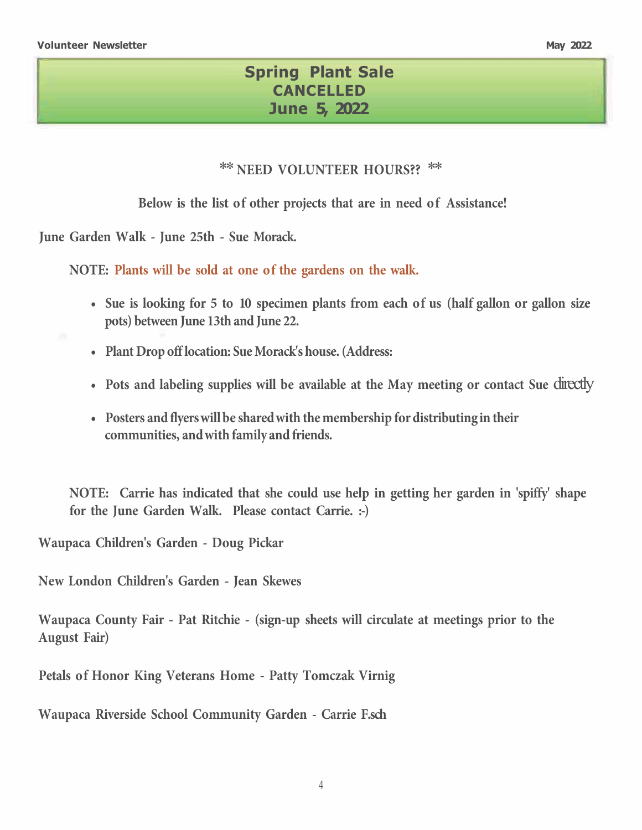...

### **Spring Plant Sale CANCELLED June 5, 2022**

#### *\*\** **NEED VOLUNTEER HOURS??** *\*\**

**Below is the list of other projects that are in need of Assistance!** 

**June Garden Walk - June 25th - Sue Morack.** 

**NOTE: Plants will be sold at one of the gardens on the walk.** 

- **• Sue is looking for 5 to 10 specimen plants from each of us (half gallon or gallon size pots) between June 13th and June 22.**
- **• Plant Drop off location: Sue Morack's house. (Address:**
- Pots and labeling supplies will be available at the May meeting or contact Sue directly
- **• Posters and flyerswill be shared with the membership for distributing in their communities, and with family and friends.**

**NOTE: Carrie has indicated that she could use help in getting her garden in 'spiffy' shape for the June Garden Walk. Please contact Carrie. :-)** 

**Waupaca Children's Garden - Doug Pickar** 

**New London Children's Garden - Jean Skewes**

**Waupaca County Fair - Pat Ritchie - (sign-up sheets will circulate at meetings prior to the August Fair)** 

**Petals of Honor King Veterans Home - Patty Tomczak Virnig** 

**Waupaca Riverside School Community Garden - Carrie F.sch**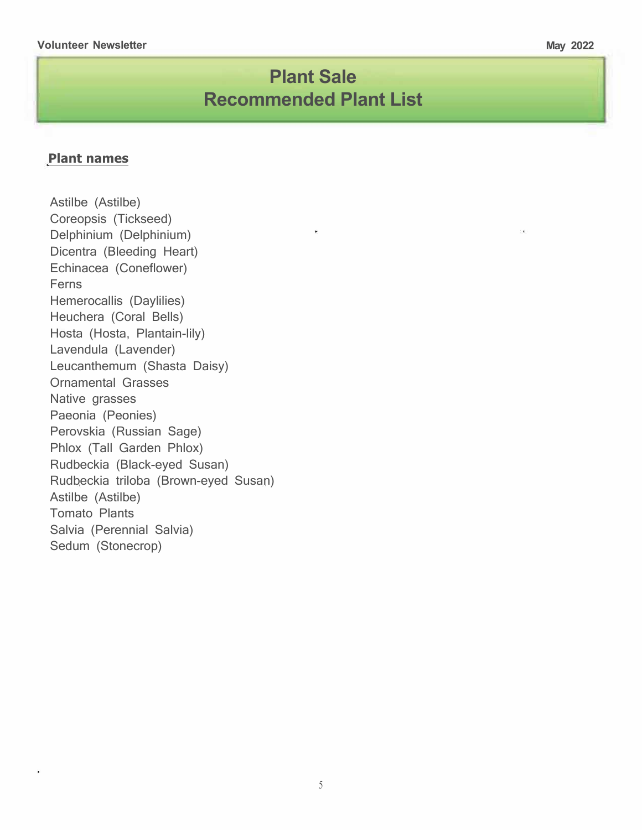## **Plant Sale Recommended Plant List**

#### **Plant names**

Astilbe (Astilbe) Coreopsis (Tickseed) Delphinium (Delphinium) Dicentra (Bleeding Heart) Echinacea (Coneflower) Ferns Hemerocallis (Daylilies) Heuchera (Coral Bells) Hosta (Hosta, Plantain-lily) Lavendula (Lavender) Leucanthemum (Shasta Daisy) Ornamental Grasses Native grasses Paeonia (Peonies) Perovskia (Russian Sage) Phlox (Tall Garden Phlox) Rudbeckia (Black-eyed Susan) Rudbeckia triloba (Brown-eyed Susan) Astilbe (Astilbe) Tomato Plants Salvia (Perennial Salvia) Sedum (Stonecrop)